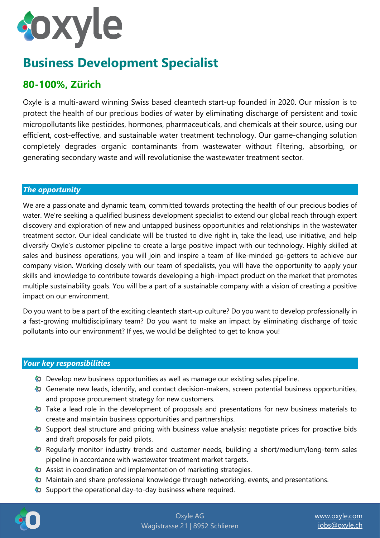# **Joxyle**

## **Business Development Specialist**

### **80-100%, Zürich**

Oxyle is a multi-award winning Swiss based cleantech start-up founded in 2020. Our mission is to protect the health of our precious bodies of water by eliminating discharge of persistent and toxic micropollutants like pesticides, hormones, pharmaceuticals, and chemicals at their source, using our efficient, cost-effective, and sustainable water treatment technology. Our game-changing solution completely degrades organic contaminants from wastewater without filtering, absorbing, or generating secondary waste and will revolutionise the wastewater treatment sector.

#### *The opportunity*

We are a passionate and dynamic team, committed towards protecting the health of our precious bodies of water. We're seeking a qualified business development specialist to extend our global reach through expert discovery and exploration of new and untapped business opportunities and relationships in the wastewater treatment sector. Our ideal candidate will be trusted to dive right in, take the lead, use initiative, and help diversify Oxyle's customer pipeline to create a large positive impact with our technology. Highly skilled at sales and business operations, you will join and inspire a team of like-minded go-getters to achieve our company vision. Working closely with our team of specialists, you will have the opportunity to apply your skills and knowledge to contribute towards developing a high-impact product on the market that promotes multiple sustainability goals. You will be a part of a sustainable company with a vision of creating a positive impact on our environment.

Do you want to be a part of the exciting cleantech start-up culture? Do you want to develop professionally in a fast-growing multidisciplinary team? Do you want to make an impact by eliminating discharge of toxic pollutants into our environment? If yes, we would be delighted to get to know you!

#### *Your key responsibilities*

- **D** Develop new business opportunities as well as manage our existing sales pipeline.
- **C** Generate new leads, identify, and contact decision-makers, screen potential business opportunities, and propose procurement strategy for new customers.
- $\bullet$  Take a lead role in the development of proposals and presentations for new business materials to create and maintain business opportunities and partnerships.
- **C** Support deal structure and pricing with business value analysis; negotiate prices for proactive bids and draft proposals for paid pilots.
- **C** Regularly monitor industry trends and customer needs, building a short/medium/long-term sales pipeline in accordance with wastewater treatment market targets.
- **C** Assist in coordination and implementation of marketing strategies.
- **Maintain and share professional knowledge through networking, events, and presentations.**
- **Co** Support the operational day-to-day business where required.